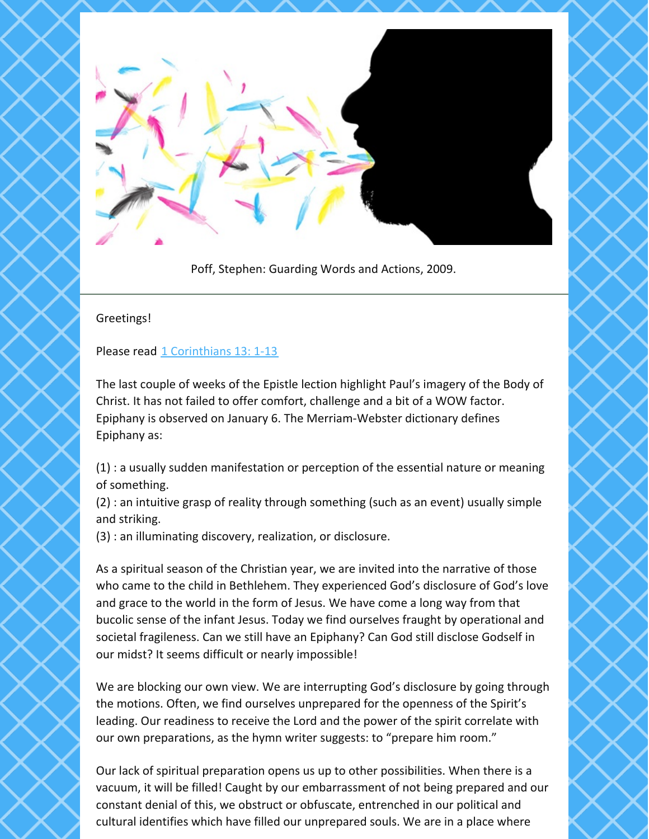

Poff, Stephen: Guarding Words and Actions, 2009.

## Greetings!

Please read 1 [Corinthians](https://www.biblegateway.com/passage/?search=1+Corinthians+13%3A+1-13&version=NRSV) 13: 1-13

The last couple of weeks of the Epistle lection highlight Paul's imagery of the Body of Christ. It has not failed to offer comfort, challenge and a bit of a WOW factor. Epiphany is observed on January 6. The Merriam-Webster dictionary defines Epiphany as:

(1) : a usually sudden manifestation or perception of the essential nature or meaning of something.

(2) : an intuitive grasp of reality through something (such as an event) usually simple and striking.

(3) : an illuminating discovery, realization, or disclosure.

As a spiritual season of the Christian year, we are invited into the narrative of those who came to the child in Bethlehem. They experienced God's disclosure of God's love and grace to the world in the form of Jesus. We have come a long way from that bucolic sense of the infant Jesus. Today we find ourselves fraught by operational and societal fragileness. Can we still have an Epiphany? Can God still disclose Godself in our midst? It seems difficult or nearly impossible!

We are blocking our own view. We are interrupting God's disclosure by going through the motions. Often, we find ourselves unprepared for the openness of the Spirit's leading. Our readiness to receive the Lord and the power of the spirit correlate with our own preparations, as the hymn writer suggests: to "prepare him room."

Our lack of spiritual preparation opens us up to other possibilities. When there is a vacuum, it will be filled! Caught by our embarrassment of not being prepared and our constant denial of this, we obstruct or obfuscate, entrenched in our political and cultural identifies which have filled our unprepared souls. We are in a place where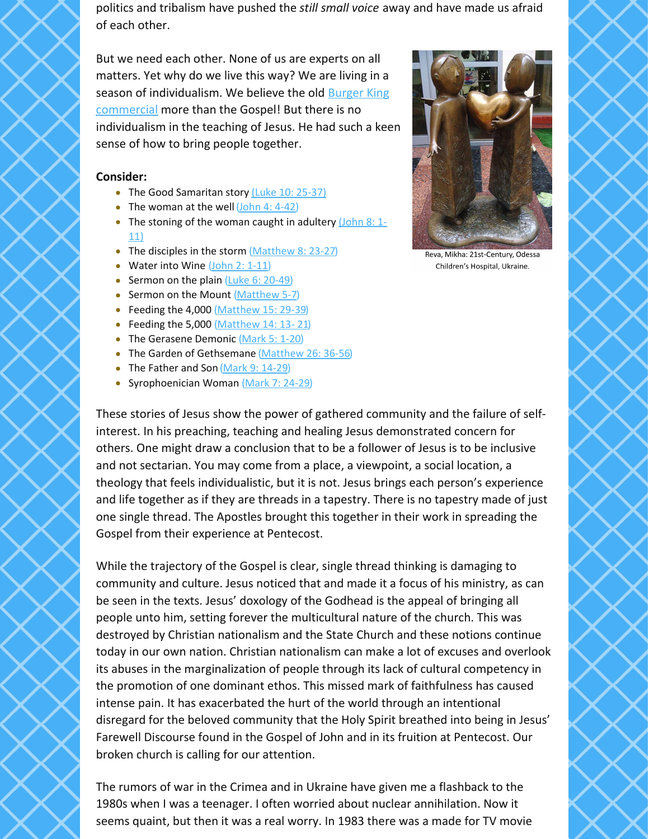politics and tribalism have pushed the *still small voice* away and have made us afraid of each other.

But we need each other. None of us are experts on all matters. Yet why do we live this way? We are living in a season of [individualism.](https://hookagency.com/blog/have-it-your-way/) We believe the old Burger King commercial more than the Gospel! But there is no individualism in the teaching of Jesus. He had such a keen sense of how to bring people together.

## **Consider:**

- The Good Samaritan story (Luke 10: [25-37\)](https://www.biblegateway.com/passage/?search=%28Luke+10%3A+25-37%29&version=NRSV)
- The woman at the well  $(John 4: 4-42)$  $(John 4: 4-42)$
- The stoning of the woman caught in [adultery](https://www.biblegateway.com/passage/?search=John+8%3A+1-11%29&version=NRSV)  $(John 8: 1-)$ 11)
- The disciples in the storm  $(Mat$ hew 8: 23-27)
- Water into Wine [\(John](https://www.biblegateway.com/passage/?search=John+2%3A+1-11&version=NRSV) 2: 1-11)
- Sermon on the plain  $(Luke 6: 20-49)$  $(Luke 6: 20-49)$  $(Luke 6: 20-49)$
- Sermon on the Mount [\(Matthew](https://www.biblegateway.com/passage/?search=Matthew+5-7&version=NRSV) 5-7)
- Feeding the 4,000 [\(Matthew](https://www.biblegateway.com/passage/?search=Matthew+15%3A+29-39&version=NRSV) 15: 29-39)
- Feeding the 5,000 [\(Matthew](https://www.biblegateway.com/passage/?search=Matthew+14%3A+13-+21&version=NRSV)  $14: 13-21$ )
- The Gerasene Demonic [\(Mark](https://www.biblegateway.com/passage/?search=Mark+5%3A+1-20&version=NRSV) 5: 1-20)
- The Garden of Gethsemane [\(Matthew](https://www.biblegateway.com/passage/?search=Matthew+26%3A+36-56&version=NRSV) 26: 36-56)
- The Father and Son (Mark 9: [14-29](https://www.biblegateway.com/passage/?search=Mark+9%3A+14-29&version=NRSV))
- Syrophoenician Woman [\(Mark](https://www.biblegateway.com/passage/?search=Mark+7%3A+24-29&version=NRSV) 7: 24-29)

Reva, Mikha: 21st-Century, Odessa Children's Hospital, Ukraine.

These stories of Jesus show the power of gathered community and the failure of selfinterest. In his preaching, teaching and healing Jesus demonstrated concern for others. One might draw a conclusion that to be a follower of Jesus is to be inclusive and not sectarian. You may come from a place, a viewpoint, a social location, a theology that feels individualistic, but it is not. Jesus brings each person's experience and life together as if they are threads in a tapestry. There is no tapestry made of just one single thread. The Apostles brought this together in their work in spreading the Gospel from their experience at Pentecost.

While the trajectory of the Gospel is clear, single thread thinking is damaging to community and culture. Jesus noticed that and made it a focus of his ministry, as can be seen in the texts. Jesus' doxology of the Godhead is the appeal of bringing all people unto him, setting forever the multicultural nature of the church. This was destroyed by Christian nationalism and the State Church and these notions continue today in our own nation. Christian nationalism can make a lot of excuses and overlook its abuses in the marginalization of people through its lack of cultural competency in the promotion of one dominant ethos. This missed mark of faithfulness has caused intense pain. It has exacerbated the hurt of the world through an intentional disregard for the beloved community that the Holy Spirit breathed into being in Jesus' Farewell Discourse found in the Gospel of John and in its fruition at Pentecost. Our broken church is calling for our attention.

The rumors of war in the Crimea and in Ukraine have given me a flashback to the 1980s when I was a teenager. I often worried about nuclear annihilation. Now it seems quaint, but then it was a real worry. In 1983 there was a made for TV movie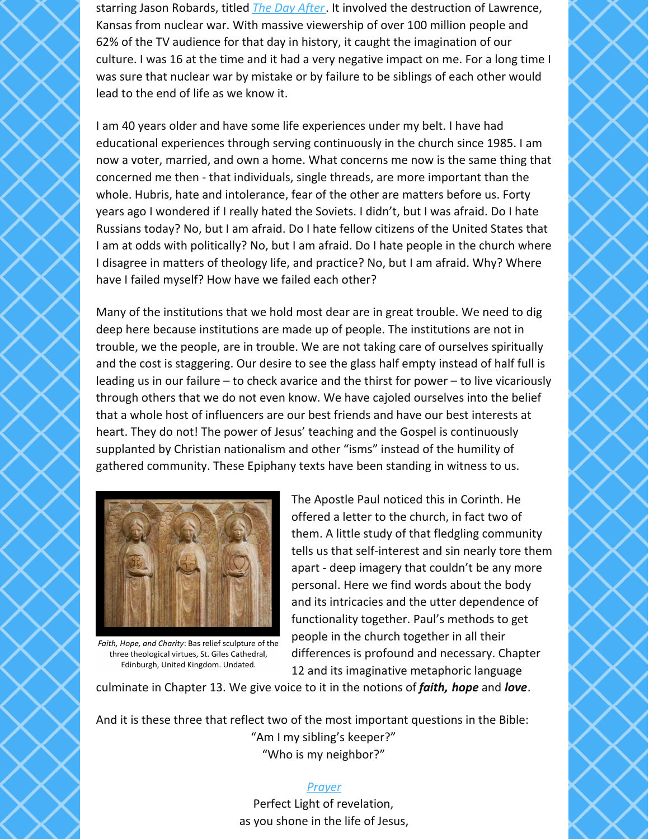starring Jason Robards, titled *The Day [After](https://en.wikipedia.org/wiki/The_Day_After)*. It involved the destruction of Lawrence, Kansas from nuclear war. With massive viewership of over 100 million people and 62% of the TV audience for that day in history, it caught the imagination of our culture. I was 16 at the time and it had a very negative impact on me. For a long time I was sure that nuclear war by mistake or by failure to be siblings of each other would lead to the end of life as we know it.

I am 40 years older and have some life experiences under my belt. I have had educational experiences through serving continuously in the church since 1985. I am now a voter, married, and own a home. What concerns me now is the same thing that concerned me then - that individuals, single threads, are more important than the whole. Hubris, hate and intolerance, fear of the other are matters before us. Forty years ago I wondered if I really hated the Soviets. I didn't, but I was afraid. Do I hate Russians today? No, but I am afraid. Do I hate fellow citizens of the United States that I am at odds with politically? No, but I am afraid. Do I hate people in the church where I disagree in matters of theology life, and practice? No, but I am afraid. Why? Where have I failed myself? How have we failed each other?

Many of the institutions that we hold most dear are in great trouble. We need to dig deep here because institutions are made up of people. The institutions are not in trouble, we the people, are in trouble. We are not taking care of ourselves spiritually and the cost is staggering. Our desire to see the glass half empty instead of half full is leading us in our failure – to check avarice and the thirst for power – to live vicariously through others that we do not even know. We have cajoled ourselves into the belief that a whole host of influencers are our best friends and have our best interests at heart. They do not! The power of Jesus' teaching and the Gospel is continuously supplanted by Christian nationalism and other "isms" instead of the humility of gathered community. These Epiphany texts have been standing in witness to us.



Faith, Hope, and Charity: Bas relief sculpture of the three theological virtues, St. Giles Cathedral, Edinburgh, United Kingdom. Undated.

The Apostle Paul noticed this in Corinth. He offered a letter to the church, in fact two of them. A little study of that fledgling community tells us that self-interest and sin nearly tore them apart - deep imagery that couldn't be any more personal. Here we find words about the body and its intricacies and the utter dependence of functionality together. Paul's methods to get people in the church together in all their differences is profound and necessary. Chapter 12 and its imaginative metaphoric language

culminate in Chapter 13. We give voice to it in the notions of *faith, hope* and *love*.

And it is these three that reflect two of the most important questions in the Bible: "Am I my sibling's keeper?" "Who is my neighbor?"

## *[Prayer](https://lectionary.library.vanderbilt.edu/prayers.php?id=110)*

Perfect Light of revelation, as you shone in the life of Jesus,